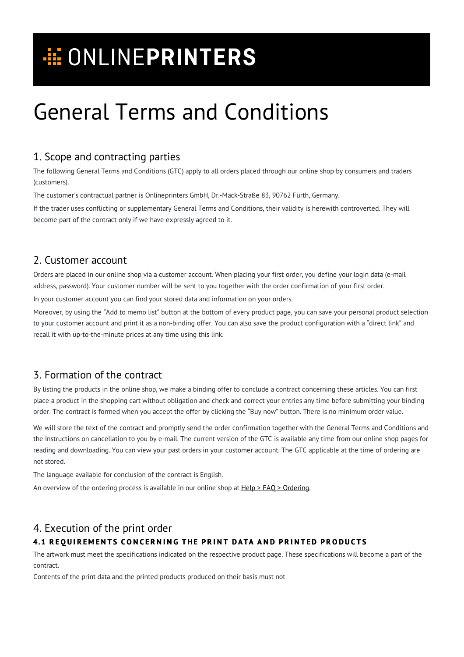# **E ONLINEPRINTERS**

# General Terms and Conditions

# 1. Scope and contracting parties

The following General Terms and Conditions (GTC) apply to all orders placed through our online shop by consumers and traders (customers).

The customer's contractual partner is Onlineprinters GmbH, Dr.-Mack-Straße 83, 90762 Fürth, Germany.

If the trader uses conflicting or supplementary General Terms and Conditions, their validity is herewith controverted. They will become part of the contract only if we have expressly agreed to it.

# 2. Customer account

Orders are placed in our online shop via a customer account. When placing your first order, you define your login data (e-mail address, password). Your customer number will be sent to you together with the order confirmation of your first order.

In your customer account you can find your stored data and information on your orders.

Moreover, by using the "Add to memo list" button at the bottom of every product page, you can save your personal product selection to your customer account and print it as a non-binding offer. You can also save the product configuration with a "direct link" and recall it with up-to-the-minute prices at any time using this link.

# 3. Formation of the contract

By listing the products in the online shop, we make a binding offer to conclude a contract concerning these articles. You can first place a product in the shopping cart without obligation and check and correct your entries any time before submitting your binding order. The contract is formed when you accept the offer by clicking the "Buy now" button. There is no minimum order value.

We will store the text of the contract and promptly send the order confirmation together with the General Terms and Conditions and the Instructions on cancellation to you by e-mail. The current version of the GTC is available any time from our online shop pages for reading and downloading. You can view your past orders in your customer account. The GTC applicable at the time of ordering are not stored.

The language available for conclusion of the contract is English.

An overview of the ordering process is available in our online shop at  $Help > FAO > Ordering.$  $Help > FAO > Ordering.$  $Help > FAO > Ordering.$ </u>

# 4. Execution of the print order

## 4.1 REQUIREMENTS CONCERNING THE PRINT DATA AND PRINTED PRODUCTS

The artwork must meet the specifications indicated on the respective product page. These specifications will become a part of the contract.

Contents of the print data and the printed products produced on their basis must not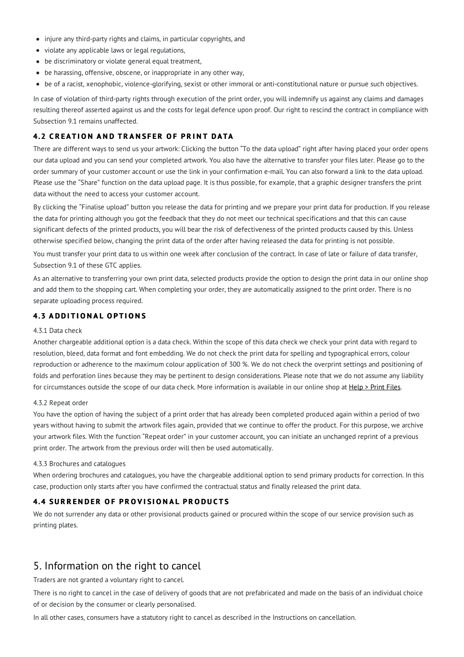- injure any third-party rights and claims, in particular copyrights, and
- violate any applicable laws or legal regulations,
- be discriminatory or violate general equal treatment,
- be harassing, offensive, obscene, or inappropriate in any other way,
- be of a racist, xenophobic, violence-glorifying, sexist or other immoral or anti-constitutional nature or pursue such objectives.

In case of violation of third-party rights through execution of the print order, you will indemnify us against any claims and damages resulting thereof asserted against us and the costs for legal defence upon proof. Our right to rescind the contract in compliance with Subsection 9.1 remains unaffected.

## **4.2 CREATION AND TRANSFER OF PRINT DATA**

There are different ways to send us your artwork: Clicking the button "To the data upload" right after having placed your order opens our data upload and you can send your completed artwork. You also have the alternative to transfer your files later. Please go to the order summary of your customer account or use the link in your confirmation e-mail. You can also forward a link to the data upload. Please use the "Share" function on the data upload page. It is thus possible, for example, that a graphic designer transfers the print data without the need to access your customer account.

By clicking the "Finalise upload" button you release the data for printing and we prepare your print data for production. If you release the data for printing although you got the feedback that they do not meet our technical specifications and that this can cause significant defects of the printed products, you will bear the risk of defectiveness of the printed products caused by this. Unless otherwise specified below, changing the print data of the order after having released the data for printing is not possible.

You must transfer your print data to us within one week after conclusion of the contract. In case of late or failure of data transfer, Subsection 9.1 of these GTC applies.

As an alternative to transferring your own print data, selected products provide the option to design the print data in our online shop and add them to the shopping cart. When completing your order, they are automatically assigned to the print order. There is no separate uploading process required.

### **4.3 A D D I T I O N A L O P T I O N S**

#### 4.3.1 Data check

Another chargeable additional option is a data check. Within the scope of this data check we check your print data with regard to resolution, bleed, data format and font embedding. We do not check the print data for spelling and typographical errors, colour reproduction or adherence to the maximum colour application of 300 %. We do not check the overprint settings and positioning of folds and perforation lines because they may be pertinent to design considerations. Please note that we do not assume any liability for circumstances outside the scope of our data check. More information is available in our online shop at [Help](https://www.onlineprinters.org/c/print-files) > Print Files.

#### 4.3.2 Repeat order

You have the option of having the subject of a print order that has already been completed produced again within a period of two years without having to submit the artwork files again, provided that we continue to offer the product. For this purpose, we archive your artwork files. With the function "Repeat order" in your customer account, you can initiate an unchanged reprint of a previous print order. The artwork from the previous order will then be used automatically.

#### 4.3.3 Brochures and catalogues

When ordering brochures and catalogues, you have the chargeable additional option to send primary products for correction. In this case, production only starts after you have confirmed the contractual status and finally released the print data.

#### **4.4 SURRENDER OF PROVISIONAL PRODUCTS**

We do not surrender any data or other provisional products gained or procured within the scope of our service provision such as printing plates.

## 5. Information on the right to cancel

Traders are not granted a voluntary right to cancel.

There is no right to cancel in the case of delivery of goods that are not prefabricated and made on the basis of an individual choice of or decision by the consumer or clearly personalised.

In all other cases, consumers have a statutory right to cancel as described in the Instructions on cancellation.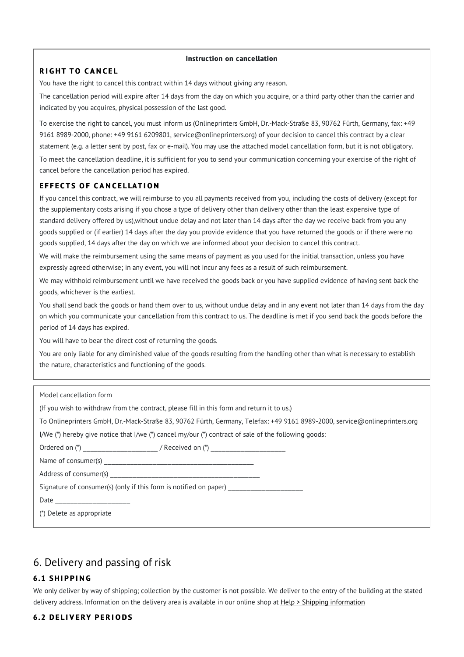#### **Instruction on cancellation**

### **R I G H T T O C A N C E L**

You have the right to cancel this contract within 14 days without giving any reason.

The cancellation period will expire after 14 days from the day on which you acquire, or a third party other than the carrier and indicated by you acquires, physical possession of the last good.

To exercise the right to cancel, you must inform us (Onlineprinters GmbH, Dr.-Mack-Straße 83, 90762 Fürth, Germany, fax: +49 9161 8989-2000, phone: +49 9161 6209801, service@onlineprinters.org) of your decision to cancel this contract by a clear statement (e.g. a letter sent by post, fax or e-mail). You may use the attached model cancellation form, but it is not obligatory. To meet the cancellation deadline, it is sufficient for you to send your communication concerning your exercise of the right of cancel before the cancellation period has expired.

### **E F F E C T S O F C A N C E L LAT I O N**

If you cancel this contract, we will reimburse to you all payments received from you, including the costs of delivery (except for the supplementary costs arising if you chose a type of delivery other than delivery other than the least expensive type of standard delivery offered by us),without undue delay and not later than 14 days after the day we receive back from you any goods supplied or (if earlier) 14 days after the day you provide evidence that you have returned the goods or if there were no goods supplied, 14 days after the day on which we are informed about your decision to cancel this contract.

We will make the reimbursement using the same means of payment as you used for the initial transaction, unless you have expressly agreed otherwise; in any event, you will not incur any fees as a result of such reimbursement.

We may withhold reimbursement until we have received the goods back or you have supplied evidence of having sent back the goods, whichever is the earliest.

You shall send back the goods or hand them over to us, without undue delay and in any event not later than 14 days from the day on which you communicate your cancellation from this contract to us. The deadline is met if you send back the goods before the period of 14 days has expired.

You will have to bear the direct cost of returning the goods.

You are only liable for any diminished value of the goods resulting from the handling other than what is necessary to establish the nature, characteristics and functioning of the goods.

| Model cancellation form                                                                                                   |
|---------------------------------------------------------------------------------------------------------------------------|
| (If you wish to withdraw from the contract, please fill in this form and return it to us.)                                |
| To Onlineprinters GmbH, Dr.-Mack-Straße 83, 90762 Fürth, Germany, Telefax: +49 9161 8989-2000, service@onlineprinters.org |
| I/We (*) hereby give notice that I/we (*) cancel my/our (*) contract of sale of the following goods:                      |
| Ordered on (*) _________________________/ Received on (*) ______________________                                          |
|                                                                                                                           |
|                                                                                                                           |
| Signature of consumer(s) (only if this form is notified on paper)                                                         |
| Date ________________________                                                                                             |
| (*) Delete as appropriate                                                                                                 |
|                                                                                                                           |

# 6. Delivery and passing of risk

## **6.1 SH I P P I N G**

We only deliver by way of shipping; collection by the customer is not possible. We deliver to the entry of the building at the stated delivery address. Information on the delivery area is available in our online shop at Help > Shipping [information](https://www.onlineprinters.org/c/shipping/shipping-information/shipping-information-countries)

## **6.2 D E L I V E R Y P E R I O D S**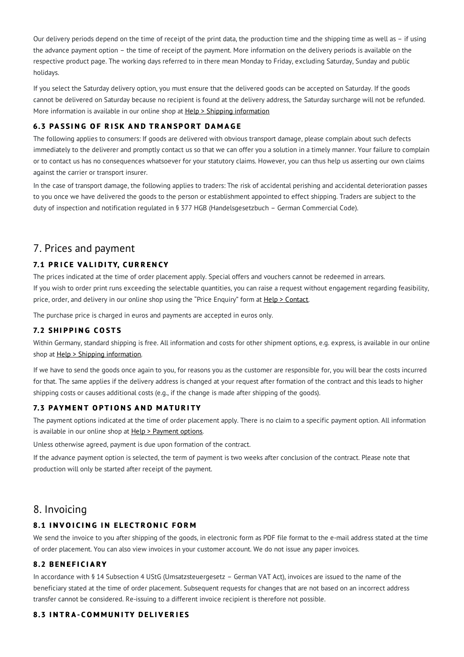Our delivery periods depend on the time of receipt of the print data, the production time and the shipping time as well as – if using the advance payment option – the time of receipt of the payment. More information on the delivery periods is available on the respective product page. The working days referred to in there mean Monday to Friday, excluding Saturday, Sunday and public holidays.

If you select the Saturday delivery option, you must ensure that the delivered goods can be accepted on Saturday. If the goods cannot be delivered on Saturday because no recipient is found at the delivery address, the Saturday surcharge will not be refunded. More [information](https://www.onlineprinters.org/c/shipping/shipping-information/shipping-information-countries) is available in our online shop at Help > Shipping information

## **6.3 PASSING OF RISK AND TRANSPORT DAMAGE**

The following applies to consumers: If goods are delivered with obvious transport damage, please complain about such defects immediately to the deliverer and promptly contact us so that we can offer you a solution in a timely manner. Your failure to complain or to contact us has no consequences whatsoever for your statutory claims. However, you can thus help us asserting our own claims against the carrier or transport insurer.

In the case of transport damage, the following applies to traders: The risk of accidental perishing and accidental deterioration passes to you once we have delivered the goods to the person or establishment appointed to effect shipping. Traders are subject to the duty of inspection and notification regulated in § 377 HGB (Handelsgesetzbuch – German Commercial Code).

## 7. Prices and payment

## **7.1 P R I C E V A L I D I TY, C U R R E N CY**

The prices indicated at the time of order placement apply. Special offers and vouchers cannot be redeemed in arrears. If you wish to order print runs exceeding the selectable quantities, you can raise a request without engagement regarding feasibility, price, order, and delivery in our online shop using the "Price Enquiry" form at Help > [Contact](https://www.onlineprinters.org/c/contact/contact-forms).

The purchase price is charged in euros and payments are accepted in euros only.

## **7.2 SH I P P I N G C O S T S**

Within Germany, standard shipping is free. All information and costs for other shipment options, e.g. express, is available in our online shop at Help > Shipping [information.](https://www.onlineprinters.org/c/shipping/shipping-information/shipping-information-countries)

If we have to send the goods once again to you, for reasons you as the customer are responsible for, you will bear the costs incurred for that. The same applies if the delivery address is changed at your request after formation of the contract and this leads to higher shipping costs or causes additional costs (e.g., if the change is made after shipping of the goods).

#### **7.3 PAY M E N T O P T I O N S A N D M AT U R I TY**

The payment options indicated at the time of order placement apply. There is no claim to a specific payment option. All information is available in our online shop at Help > [Payment](https://www.onlineprinters.org/c/shipping/payment-options/other-countries) options.

Unless otherwise agreed, payment is due upon formation of the contract.

If the advance payment option is selected, the term of payment is two weeks after conclusion of the contract. Please note that production will only be started after receipt of the payment.

## 8. Invoicing

## **8.1 INVOICING IN ELECTRONIC FORM**

We send the invoice to you after shipping of the goods, in electronic form as PDF file format to the e-mail address stated at the time of order placement. You can also view invoices in your customer account. We do not issue any paper invoices.

### **8.2 B E N E F I C I A R Y**

In accordance with § 14 Subsection 4 UStG (Umsatzsteuergesetz – German VAT Act), invoices are issued to the name of the beneficiary stated at the time of order placement. Subsequent requests for changes that are not based on an incorrect address transfer cannot be considered. Re-issuing to a different invoice recipient is therefore not possible.

## **8.3 INTRA-COMMUNITY DELIVERIES**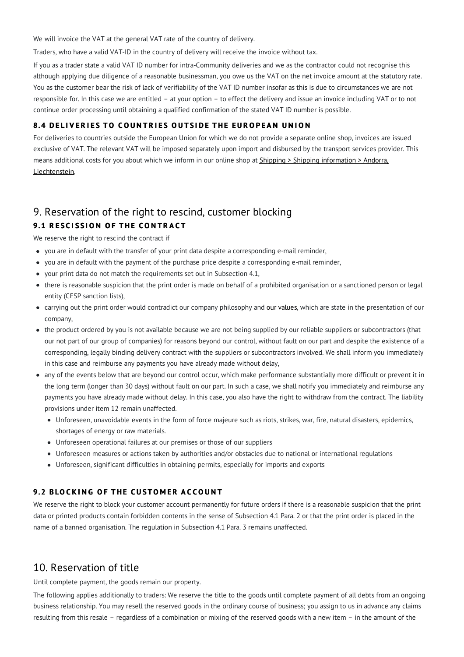We will invoice the VAT at the general VAT rate of the country of delivery.

Traders, who have a valid VAT-ID in the country of delivery will receive the invoice without tax.

If you as a trader state a valid VAT ID number for intra-Community deliveries and we as the contractor could not recognise this although applying due diligence of a reasonable businessman, you owe us the VAT on the net invoice amount at the statutory rate. You as the customer bear the risk of lack of verifiability of the VAT ID number insofar as this is due to circumstances we are not responsible for. In this case we are entitled – at your option – to effect the delivery and issue an invoice including VAT or to not continue order processing until obtaining a qualified confirmation of the stated VAT ID number is possible.

## **8.4 DELIVERIES TO COUNTRIES OUTSIDE THE EUROPEAN UNION**

For deliveries to countries outside the European Union for which we do not provide a separate online shop, invoices are issued exclusive of VAT. The relevant VAT will be imposed separately upon import and disbursed by the transport services provider. This means additional costs for you about which we inform in our online shop at Shipping > Shipping information > Andorra, [Liechtenstein.](https://www.onlineprinters.org/c/shipping/shipping-information/andorra-liechtenstein)

## 9. Reservation of the right to rescind, customer blocking **9.1 R E S C I S S I O N O F T H E C O N T R A C T**

We reserve the right to rescind the contract if

- you are in default with the transfer of your print data despite a corresponding e-mail reminder,
- you are in default with the payment of the purchase price despite a corresponding e-mail reminder,
- your print data do not match the requirements set out in Subsection 4.1,
- there is reasonable suspicion that the print order is made on behalf of a prohibited organisation or a sanctioned person or legal entity (CFSP sanction lists),
- carrying out the print order would contradict our company philosophy and our [values](https://www.onlineprinters.org/c/about-us/the-company/our-values), which are state in the presentation of our company,
- the product ordered by you is not available because we are not being supplied by our reliable suppliers or subcontractors (that our not part of our group of companies) for reasons beyond our control, without fault on our part and despite the existence of a corresponding, legally binding delivery contract with the suppliers or subcontractors involved. We shall inform you immediately in this case and reimburse any payments you have already made without delay,
- any of the events below that are beyond our control occur, which make performance substantially more difficult or prevent it in the long term (longer than 30 days) without fault on our part. In such a case, we shall notify you immediately and reimburse any payments you have already made without delay. In this case, you also have the right to withdraw from the contract. The liability provisions under item 12 remain unaffected.
	- Unforeseen, unavoidable events in the form of force majeure such as riots, strikes, war, fire, natural disasters, epidemics, shortages of energy or raw materials.
	- Unforeseen operational failures at our premises or those of our suppliers
	- Unforeseen measures or actions taken by authorities and/or obstacles due to national or international regulations
	- Unforeseen, significant difficulties in obtaining permits, especially for imports and exports

## 9.2 BLOCKING OF THE CUSTOMER ACCOUNT

We reserve the right to block your customer account permanently for future orders if there is a reasonable suspicion that the print data or printed products contain forbidden contents in the sense of Subsection 4.1 Para. 2 or that the print order is placed in the name of a banned organisation. The regulation in Subsection 4.1 Para. 3 remains unaffected.

## 10. Reservation of title

Until complete payment, the goods remain our property.

The following applies additionally to traders: We reserve the title to the goods until complete payment of all debts from an ongoing business relationship. You may resell the reserved goods in the ordinary course of business; you assign to us in advance any claims resulting from this resale – regardless of a combination or mixing of the reserved goods with a new item – in the amount of the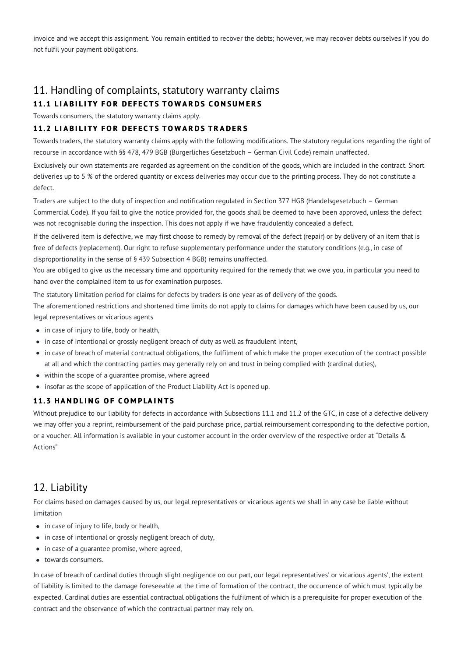invoice and we accept this assignment. You remain entitled to recover the debts; however, we may recover debts ourselves if you do not fulfil your payment obligations.

# 11. Handling of complaints, statutory warranty claims

## **11.1 LIABILITY FOR DEFECTS TOWARDS CONSUMERS**

Towards consumers, the statutory warranty claims apply.

### **11.2 LIABILITY FOR DEFECTS TOWARDS TRADERS**

Towards traders, the statutory warranty claims apply with the following modifications. The statutory regulations regarding the right of recourse in accordance with §§ 478, 479 BGB (Bürgerliches Gesetzbuch – German Civil Code) remain unaffected.

Exclusively our own statements are regarded as agreement on the condition of the goods, which are included in the contract. Short deliveries up to 5 % of the ordered quantity or excess deliveries may occur due to the printing process. They do not constitute a defect.

Traders are subject to the duty of inspection and notification regulated in Section 377 HGB (Handelsgesetzbuch – German Commercial Code). If you fail to give the notice provided for, the goods shall be deemed to have been approved, unless the defect was not recognisable during the inspection. This does not apply if we have fraudulently concealed a defect.

If the delivered item is defective, we may first choose to remedy by removal of the defect (repair) or by delivery of an item that is free of defects (replacement). Our right to refuse supplementary performance under the statutory conditions (e.g., in case of disproportionality in the sense of § 439 Subsection 4 BGB) remains unaffected.

You are obliged to give us the necessary time and opportunity required for the remedy that we owe you, in particular you need to hand over the complained item to us for examination purposes.

The statutory limitation period for claims for defects by traders is one year as of delivery of the goods.

The aforementioned restrictions and shortened time limits do not apply to claims for damages which have been caused by us, our legal representatives or vicarious agents

- in case of injury to life, body or health,
- in case of intentional or grossly negligent breach of duty as well as fraudulent intent,
- in case of breach of material contractual obligations, the fulfilment of which make the proper execution of the contract possible at all and which the contracting parties may generally rely on and trust in being complied with (cardinal duties),
- within the scope of a guarantee promise, where agreed
- insofar as the scope of application of the Product Liability Act is opened up.

## **11.3 H A N D L I N G O F C O M P LA I N T S**

Without prejudice to our liability for defects in accordance with Subsections 11.1 and 11.2 of the GTC, in case of a defective delivery we may offer you a reprint, reimbursement of the paid purchase price, partial reimbursement corresponding to the defective portion, or a voucher. All information is available in your customer account in the order overview of the respective order at "Details & Actions"

## 12. Liability

For claims based on damages caused by us, our legal representatives or vicarious agents we shall in any case be liable without limitation

- in case of injury to life, body or health,
- in case of intentional or grossly negligent breach of duty,
- in case of a guarantee promise, where agreed,
- towards consumers.

In case of breach of cardinal duties through slight negligence on our part, our legal representatives' or vicarious agents', the extent of liability is limited to the damage foreseeable at the time of formation of the contract, the occurrence of which must typically be expected. Cardinal duties are essential contractual obligations the fulfilment of which is a prerequisite for proper execution of the contract and the observance of which the contractual partner may rely on.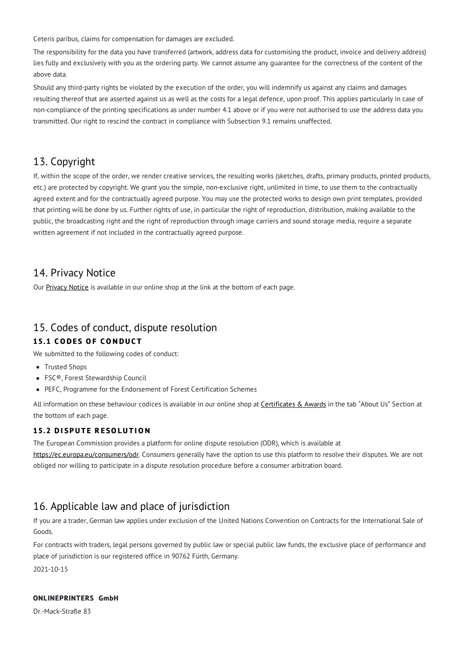Ceteris paribus, claims for compensation for damages are excluded.

The responsibility for the data you have transferred (artwork, address data for customising the product, invoice and delivery address) lies fully and exclusively with you as the ordering party. We cannot assume any guarantee for the correctness of the content of the above data.

Should any third-party rights be violated by the execution of the order, you will indemnify us against any claims and damages resulting thereof that are asserted against us as well as the costs for a legal defence, upon proof. This applies particularly in case of non-compliance of the printing specifications as under number 4.1 above or if you were not authorised to use the address data you transmitted. Our right to rescind the contract in compliance with Subsection 9.1 remains unaffected.

## 13. Copyright

If, within the scope of the order, we render creative services, the resulting works (sketches, drafts, primary products, printed products, etc.) are protected by copyright. We grant you the simple, non-exclusive right, unlimited in time, to use them to the contractually agreed extent and for the contractually agreed purpose. You may use the protected works to design own print templates, provided that printing will be done by us. Further rights of use, in particular the right of reproduction, distribution, making available to the public, the broadcasting right and the right of reproduction through image carriers and sound storage media, require a separate written agreement if not included in the contractually agreed purpose.

## 14. Privacy Notice

Our [Privacy](https://www.onlineprinters.org/c/about-us/legal-information/privacy-notice) Notice is available in our online shop at the link at the bottom of each page.

# 15. Codes of conduct, dispute resolution

## **15.1 C O D E S O F C O N D U C T**

We submitted to the following codes of conduct:

- Trusted Shops
- FSC®, Forest Stewardship Council
- PEFC, Programme for the Endorsement of Forest Certification Schemes

All information on these behaviour codices is available in our online shop at **[Certificates](https://www.onlineprinters.org/c/about-us/certificates-and-awards) & Awards** in the tab "About Us" Section at the bottom of each page.

## **15.2 D I S P U T E R E SO L U T I O N**

The European Commission provides a platform for online dispute resolution (ODR), which is available at [https://ec.europa.eu/consumers/odr.](https://ec.europa.eu/consumers/odr) Consumers generally have the option to use this platform to resolve their disputes. We are not obliged nor willing to participate in a dispute resolution procedure before a consumer arbitration board.

# 16. Applicable law and place of jurisdiction

If you are a trader, German law applies under exclusion of the United Nations Convention on Contracts for the International Sale of Goods.

For contracts with traders, legal persons governed by public law or special public law funds, the exclusive place of performance and place of jurisdiction is our registered office in 90762 Fürth, Germany.

2021-10-15

## **ONLINEPRINTERS GmbH**

Dr.-Mack-Straße 83